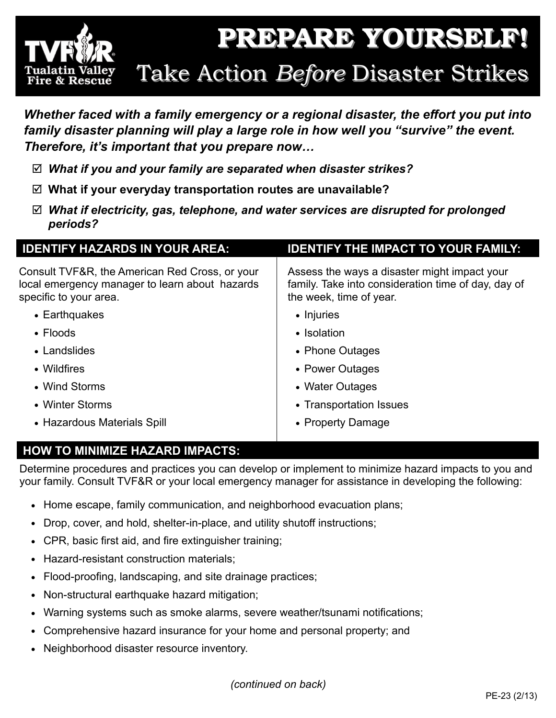

*Whether faced with a family emergency or a regional disaster, the effort you put into family disaster planning will play a large role in how well you "survive" the event. Therefore, it's important that you prepare now…* 

- *What if you and your family are separated when disaster strikes?*
- **What if your everyday transportation routes are unavailable?**
- *What if electricity, gas, telephone, and water services are disrupted for prolonged periods?*

| <b>IDENTIFY HAZARDS IN YOUR AREA:</b>                                                                                      | <b>IDENTIFY THE IMPACT TO YOUR FAMILY:</b>                                                                                     |
|----------------------------------------------------------------------------------------------------------------------------|--------------------------------------------------------------------------------------------------------------------------------|
| Consult TVF&R, the American Red Cross, or your<br>local emergency manager to learn about hazards<br>specific to your area. | Assess the ways a disaster might impact your<br>family. Take into consideration time of day, day of<br>the week, time of year. |
| • Earthquakes                                                                                                              | • Injuries                                                                                                                     |
| $\bullet$ Floods                                                                                                           | • Isolation                                                                                                                    |
| • Landslides                                                                                                               | • Phone Outages                                                                                                                |
| • Wildfires                                                                                                                | • Power Outages                                                                                                                |
| • Wind Storms                                                                                                              | • Water Outages                                                                                                                |
| • Winter Storms                                                                                                            | • Transportation Issues                                                                                                        |
| • Hazardous Materials Spill                                                                                                | • Property Damage                                                                                                              |
|                                                                                                                            |                                                                                                                                |

# **HOW TO MINIMIZE HAZARD IMPACTS:**

Determine procedures and practices you can develop or implement to minimize hazard impacts to you and your family. Consult TVF&R or your local emergency manager for assistance in developing the following:

- Home escape, family communication, and neighborhood evacuation plans;
- Drop, cover, and hold, shelter-in-place, and utility shutoff instructions;
- CPR, basic first aid, and fire extinguisher training;
- Hazard-resistant construction materials;
- Flood-proofing, landscaping, and site drainage practices;
- Non-structural earthquake hazard mitigation;
- Warning systems such as smoke alarms, severe weather/tsunami notifications;
- Comprehensive hazard insurance for your home and personal property; and
- Neighborhood disaster resource inventory.